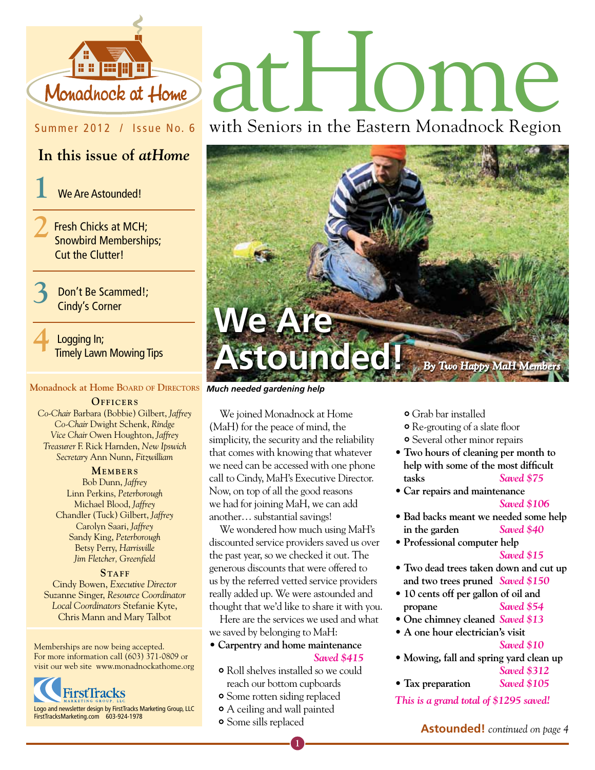

## Summer 2012 / Issue No. 6

## **In this issue of** *atHome*

**1** We Are Astounded!

**2**Fresh Chicks at MCH; Snowbird Memberships; Cut the Clutter!

> **3** Don't Be Scammed!; Cindy's Corner

**4** Logging In; Timely Lawn Mowing Tips

### **Monadnock at Home Board of Directors**

#### **OFFICERS**

*Co-Chair* Barbara (Bobbie) Gilbert, *Jaffrey Co-Chair* Dwight Schenk, *Rindge Vice Chair* Owen Houghton, *Jaffrey Treasurer* F. Rick Harnden, *New Ipswich Secretary* Ann Nunn, *Fitzwilliam*

#### **MEMBERS**

Bob Dunn, *Jaffrey* Linn Perkins, *Peterborough* Michael Blood, *Jaffrey* Chandler (Tuck) Gilbert, *Jaffrey* Carolyn Saari, *Jaffrey* Sandy King, *Peterborough* Betsy Perry, *Harrisville Jim Fletcher, Greenfield*

STAFF Cindy Bowen, *Executive Director* Suzanne Singer, *Resource Coordinator Local Coordinators* Stefanie Kyte, Chris Mann and Mary Talbot

Memberships are now being accepted. For more information call (603) 371-0809 or visit our web site www.monadnockathome.org



# athiome

with Seniors in the Eastern Monadnock Region



*Much needed gardening help*

We joined Monadnock at Home (MaH) for the peace of mind, the simplicity, the security and the reliability that comes with knowing that whatever we need can be accessed with one phone call to Cindy, MaH's Executive Director. Now, on top of all the good reasons we had for joining MaH, we can add another… substantial savings!

We wondered how much using MaH's discounted service providers saved us over the past year, so we checked it out. The generous discounts that were offered to us by the referred vetted service providers really added up. We were astounded and thought that we'd like to share it with you.

Here are the services we used and what we saved by belonging to MaH:

- **Carpentry and home maintenance** *Saved \$415*
	- Roll shelves installed so we could reach our bottom cupboards
	- Some rotten siding replaced
	- A ceiling and wall painted
	- Some sills replaced

Grab bar installed

- Re-grouting of a slate floor
- Several other minor repairs
- **Two hours of cleaning per month to help with some of the most difficult tasks** *Saved \$75*
- **Car repairs and maintenance**

- **Bad backs meant we needed some help in the garden** *Saved \$40*
- **Professional computer help**

```
 Saved $15
```
- **Two dead trees taken down and cut up and two trees pruned** *Saved \$150*
- **10 cents off per gallon of oil and propane** *Saved \$54*
- **One chimney cleaned** *Saved \$13*
- **A one hour electrician's visit**

- **Mowing, fall and spring yard clean up**
- *Saved \$312* **• Tax preparation** *Saved \$105*

*This is a grand total of \$1295 saved!*

*Saved \$106*

*Saved \$10*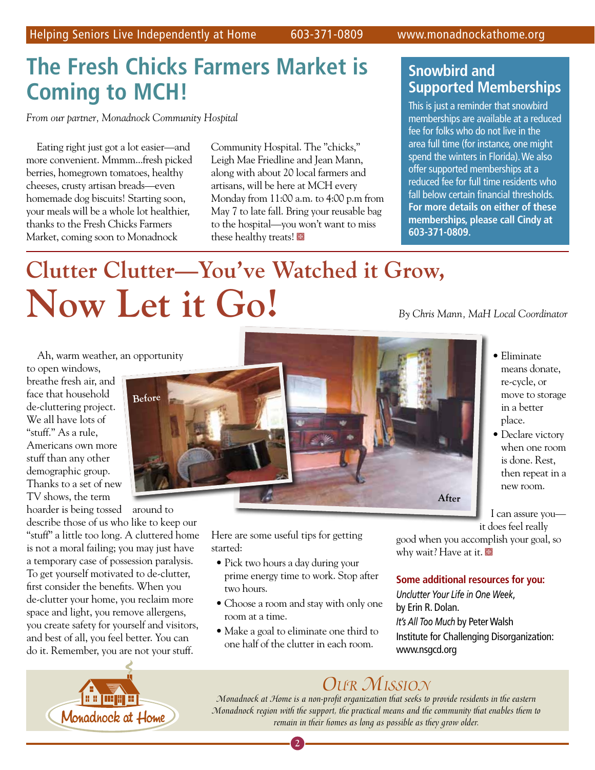# **The Fresh Chicks Farmers Market is Coming to MCH!**

*From our partner, Monadnock Community Hospital*

Eating right just got a lot easier—and more convenient. Mmmm...fresh picked berries, homegrown tomatoes, healthy cheeses, crusty artisan breads—even homemade dog biscuits! Starting soon, your meals will be a whole lot healthier, thanks to the Fresh Chicks Farmers Market, coming soon to Monadnock

Community Hospital. The "chicks," Leigh Mae Friedline and Jean Mann, along with about 20 local farmers and artisans, will be here at MCH every Monday from 11:00 a.m. to 4:00 p.m from May 7 to late fall. Bring your reusable bag to the hospital—you won't want to miss these healthy treats!

## **Snowbird and Supported Memberships**

This is just a reminder that snowbird memberships are available at a reduced fee for folks who do not live in the area full time (for instance, one might spend the winters in Florida). We also offer supported memberships at a reduced fee for full time residents who fall below certain financial thresholds. **For more details on either of these memberships, please call Cindy at 603-371-0809.**

# **Clutter Clutter—You've Watched it Grow, Now Let it Go!**

*By Chris Mann, MaH Local Coordinator*

• Eliminate means donate, re-cycle, or move to storage in a better place.

• Declare victory when one room is done. Rest, then repeat in a new room.

I can assure you—

Ah, warm weather, an opportunity

to open windows, breathe fresh air, and face that household de-cluttering project. We all have lots of "stuff." As a rule, Americans own more stuff than any other demographic group. Thanks to a set of new TV shows, the term

hoarder is being tossed around to describe those of us who like to keep our "stuff" a little too long. A cluttered home is not a moral failing; you may just have a temporary case of possession paralysis. To get yourself motivated to de-clutter, first consider the benefits. When you de-clutter your home, you reclaim more space and light, you remove allergens, you create safety for yourself and visitors, and best of all, you feel better. You can do it. Remember, you are not your stuff.



Here are some useful tips for getting started:

- Pick two hours a day during your prime energy time to work. Stop after two hours.
- Choose a room and stay with only one room at a time.
- Make a goal to eliminate one third to one half of the clutter in each room.

it does feel really good when you accomplish your goal, so why wait? Have at it.

## **Some additional resources for you:**

*Unclutter Your Life in One Week*, by Erin R. Dolan. *It's All Too Much* by Peter Walsh Institute for Challenging Disorganization: www.nsgcd.org



## *Our Mission*

*Monadnock at Home is a non-profit organization that seeks to provide residents in the eastern Monadnock region with the support, the practical means and the community that enables them to remain in their homes as long as possible as they grow older.*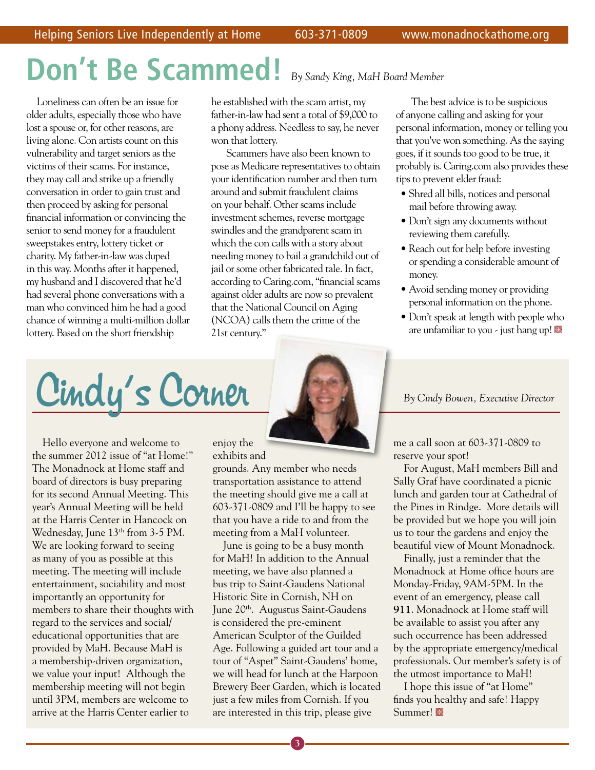# **Don't Be Scammed!** *By Sandy King, MaH Board Member*

Loneliness can often be an issue for older adults, especially those who have lost a spouse or, for other reasons, are living alone. Con artists count on this vulnerability and target seniors as the victims of their scams. For instance, they may call and strike up a friendly conversation in order to gain trust and then proceed by asking for personal financial information or convincing the senior to send money for a fraudulent sweepstakes entry, lottery ticket or charity. My father-in-law was duped in this way. Months after it happened, my husband and I discovered that he'd had several phone conversations with a man who convinced him he had a good chance of winning a multi-million dollar lottery. Based on the short friendship

he established with the scam artist, my father-in-law had sent a total of \$9,000 to a phony address. Needless to say, he never won that lottery.

 Scammers have also been known to pose as Medicare representatives to obtain your identification number and then turn around and submit fraudulent claims on your behalf. Other scams include investment schemes, reverse mortgage swindles and the grandparent scam in which the con calls with a story about needing money to bail a grandchild out of jail or some other fabricated tale. In fact, according to Caring.com, "financial scams against older adults are now so prevalent that the National Council on Aging (NCOA) calls them the crime of the 21st century."

 The best advice is to be suspicious of anyone calling and asking for your personal information, money or telling you that you've won something. As the saying goes, if it sounds too good to be true, it probably is. Caring.com also provides these tips to prevent elder fraud:

- Shred all bills, notices and personal mail before throwing away.
- Don't sign any documents without reviewing them carefully.
- Reach out for help before investing or spending a considerable amount of money.
- Avoid sending money or providing personal information on the phone.
- Don't speak at length with people who are unfamiliar to you - just hang up!

Cindy's Corner **Corner Corner Executive Director** 

Hello everyone and welcome to the summer 2012 issue of "at Home!" The Monadnock at Home staff and board of directors is busy preparing for its second Annual Meeting. This year's Annual Meeting will be held at the Harris Center in Hancock on Wednesday, June 13<sup>th</sup> from 3-5 PM. We are looking forward to seeing as many of you as possible at this meeting. The meeting will include entertainment, sociability and most importantly an opportunity for members to share their thoughts with regard to the services and social/ educational opportunities that are provided by MaH. Because MaH is a membership-driven organization, we value your input! Although the membership meeting will not begin until 3PM, members are welcome to arrive at the Harris Center earlier to



enjoy the exhibits and grounds. Any member who needs transportation assistance to attend the meeting should give me a call at 603-371-0809 and I'll be happy to see that you have a ride to and from the meeting from a MaH volunteer.

June is going to be a busy month for MaH! In addition to the Annual meeting, we have also planned a bus trip to Saint-Gaudens National Historic Site in Cornish, NH on June 20th. Augustus Saint-Gaudens is considered the pre-eminent American Sculptor of the Guilded Age. Following a guided art tour and a tour of "Aspet" Saint-Gaudens' home, we will head for lunch at the Harpoon Brewery Beer Garden, which is located just a few miles from Cornish. If you are interested in this trip, please give

me a call soon at 603-371-0809 to reserve your spot!

For August, MaH members Bill and Sally Graf have coordinated a picnic lunch and garden tour at Cathedral of the Pines in Rindge. More details will be provided but we hope you will join us to tour the gardens and enjoy the beautiful view of Mount Monadnock.

Finally, just a reminder that the Monadnock at Home office hours are Monday-Friday, 9AM-5PM. In the event of an emergency, please call **911**. Monadnock at Home staff will be available to assist you after any such occurrence has been addressed by the appropriate emergency/medical professionals. Our member's safety is of the utmost importance to MaH!

I hope this issue of "at Home" finds you healthy and safe! Happy Summer!